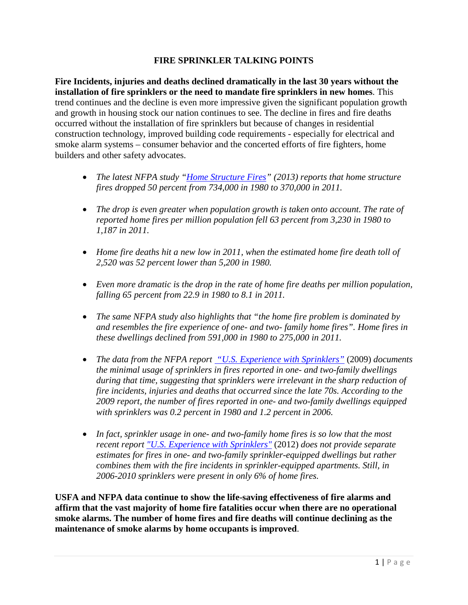## **FIRE SPRINKLER TALKING POINTS**

**Fire Incidents, injuries and deaths declined dramatically in the last 30 years without the installation of fire sprinklers or the need to mandate fire sprinklers in new homes**. This trend continues and the decline is even more impressive given the significant population growth and growth in housing stock our nation continues to see. The decline in fires and fire deaths occurred without the installation of fire sprinklers but because of changes in residential construction technology, improved building code requirements - especially for electrical and smoke alarm systems – consumer behavior and the concerted efforts of fire fighters, home builders and other safety advocates.

- *The latest NFPA study ["Home Structure Fires"](http://www.nfpa.org/assets/files/pdf/os.homes.pdf) (2013) reports that home structure fires dropped 50 percent from 734,000 in 1980 to 370,000 in 2011.*
- *The drop is even greater when population growth is taken onto account. The rate of reported home fires per million population fell 63 percent from 3,230 in 1980 to 1,187 in 2011.*
- *Home fire deaths hit a new low in 2011, when the estimated home fire death toll of 2,520 was 52 percent lower than 5,200 in 1980.*
- *Even more dramatic is the drop in the rate of home fire deaths per million population, falling 65 percent from 22.9 in 1980 to 8.1 in 2011.*
- *The same NFPA study also highlights that "the home fire problem is dominated by and resembles the fire experience of one- and two- family home fires". Home fires in these dwellings declined from 591,000 in 1980 to 275,000 in 2011.*
- *The data from the NFPA report ["U.S. Experience with Sprinklers"](http://www.iafc.org/files/flss_NFPASprinklerReport_1-2009.pdf)* (2009) *documents the minimal usage of sprinklers in fires reported in one- and two-family dwellings during that time, suggesting that sprinklers were irrelevant in the sharp reduction of fire incidents, injuries and deaths that occurred since the late 70s. According to the 2009 report, the number of fires reported in one- and two-family dwellings equipped with sprinklers was 0.2 percent in 1980 and 1.2 percent in 2006.*
- *In fact, sprinkler usage in one- and two-family home fires is so low that the most recent report ["U.S. Experience with Sprinklers"](http://www.nfpa.org/assets/files/PDF/OS.sprinklers.pdf)* (2012) *does not provide separate estimates for fires in one- and two-family sprinkler-equipped dwellings but rather combines them with the fire incidents in sprinkler-equipped apartments. Still, in 2006-2010 sprinklers were present in only 6% of home fires.*

**USFA and NFPA data continue to show the life-saving effectiveness of fire alarms and affirm that the vast majority of home fire fatalities occur when there are no operational smoke alarms. The number of home fires and fire deaths will continue declining as the maintenance of smoke alarms by home occupants is improved**.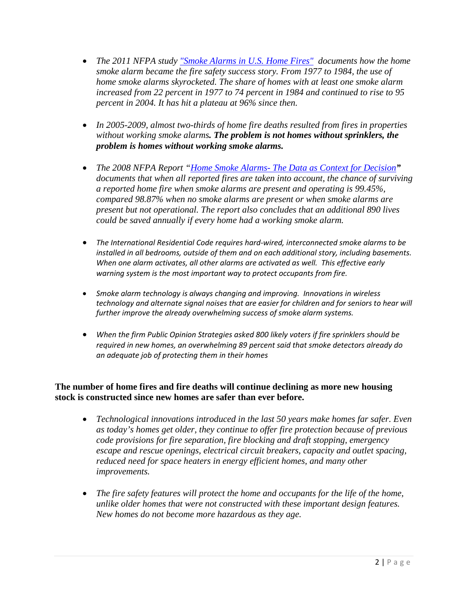- *The 2011 NFPA study ["Smoke Alarms in U.S. Home Fires"](http://www.nfpa.org/assets/files/PDF/OS.SmokeAlarms.pdf) documents how the home smoke alarm became the fire safety success story. From 1977 to 1984, the use of home smoke alarms skyrocketed. The share of homes with at least one smoke alarm increased from 22 percent in 1977 to 74 percent in 1984 and continued to rise to 95 percent in 2004. It has hit a plateau at 96% since then.*
- *In 2005-2009, almost two-thirds of home fire deaths resulted from fires in properties without working smoke alarms. The problem is not homes without sprinklers, the problem is homes without working smoke alarms.*
- *The 2008 NFPA Report "Home Smoke Alarms- [The Data as Context for Decision](http://link.springer.com/article/10.1007%2Fs10694-008-0045-9)" documents that when all reported fires are taken into account, the chance of surviving a reported home fire when smoke alarms are present and operating is 99.45%, compared 98.87% when no smoke alarms are present or when smoke alarms are present but not operational. The report also concludes that an additional 890 lives could be saved annually if every home had a working smoke alarm.*
- *The International Residential Code requires hard-wired, interconnected smoke alarms to be installed in all bedrooms, outside of them and on each additional story, including basements. When one alarm activates, all other alarms are activated as well. This effective early warning system is the most important way to protect occupants from fire.*
- *Smoke alarm technology is always changing and improving. Innovations in wireless technology and alternate signal noises that are easier for children and for seniors to hear will further improve the already overwhelming success of smoke alarm systems.*
- *When the firm Public Opinion Strategies asked 800 likely voters if fire sprinklers should be required in new homes, an overwhelming 89 percent said that smoke detectors already do an adequate job of protecting them in their homes*

## **The number of home fires and fire deaths will continue declining as more new housing stock is constructed since new homes are safer than ever before.**

- *Technological innovations introduced in the last 50 years make homes far safer. Even as today's homes get older, they continue to offer fire protection because of previous code provisions for fire separation, fire blocking and draft stopping, emergency escape and rescue openings, electrical circuit breakers, capacity and outlet spacing, reduced need for space heaters in energy efficient homes, and many other improvements.*
- *The fire safety features will protect the home and occupants for the life of the home, unlike older homes that were not constructed with these important design features. New homes do not become more hazardous as they age.*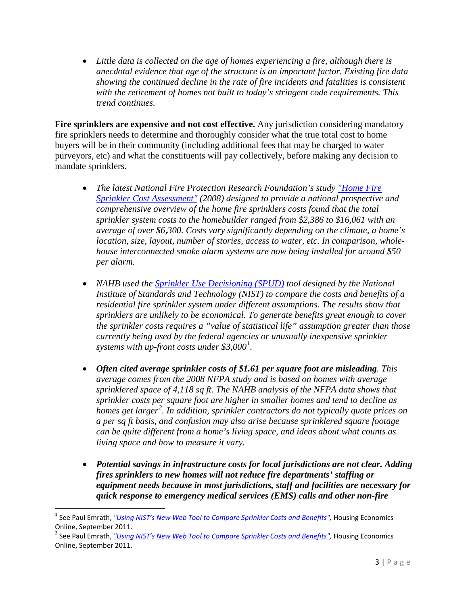• *Little data is collected on the age of homes experiencing a fire, although there is anecdotal evidence that age of the structure is an important factor. Existing fire data showing the continued decline in the rate of fire incidents and fatalities is consistent with the retirement of homes not built to today's stringent code requirements. This trend continues.*

**Fire sprinklers are expensive and not cost effective.** Any jurisdiction considering mandatory fire sprinklers needs to determine and thoroughly consider what the true total cost to home buyers will be in their community (including additional fees that may be charged to water purveyors, etc) and what the constituents will pay collectively, before making any decision to mandate sprinklers.

- *The latest National Fire Protection Research Foundation's study ["Home Fire](http://www.nfpa.org/assets/files/PDF/Research/FireSprinklerCostAssessment.pdf)  [Sprinkler Cost Assessment"](http://www.nfpa.org/assets/files/PDF/Research/FireSprinklerCostAssessment.pdf) (2008) designed to provide a national prospective and comprehensive overview of the home fire sprinklers costs found that the total sprinkler system costs to the homebuilder ranged from \$2,386 to \$16,061 with an average of over \$6,300. Costs vary significantly depending on the climate, a home's location, size, layout, number of stories, access to water, etc. In comparison, wholehouse interconnected smoke alarm systems are now being installed for around \$50 per alarm.*
- *NAHB used the Sprinkler Use [Decisioning \(SPUD\)](http://www.nist.gov/el/economics/sprinklerusedecisioningsoftware.cfm) tool designed by the National Institute of Standards and Technology (NIST) to compare the costs and benefits of a residential fire sprinkler system under different assumptions. The results show that sprinklers are unlikely to be economical. To generate benefits great enough to cover the sprinkler costs requires a "value of statistical life" assumption greater than those currently being used by the federal agencies or unusually inexpensive sprinkler systems with up-front costs under \$3,000[1](#page-2-0) .*
- *Often cited average sprinkler costs of \$1.61 per square foot are misleading. This average comes from the 2008 NFPA study and is based on homes with average sprinklered space of 4,118 sq ft. The NAHB analysis of the NFPA data shows that sprinkler costs per square foot are higher in smaller homes and tend to decline as homes get larger[2](#page-2-1) . In addition, sprinkler contractors do not typically quote prices on a per sq ft basis, and confusion may also arise because sprinklered square footage can be quite different from a home's living space, and ideas about what counts as living space and how to measure it vary.*
- *Potential savings in infrastructure costs for local jurisdictions are not clear. Adding fires sprinklers to new homes will not reduce fire departments' staffing or equipment needs because in most jurisdictions, staff and facilities are necessary for quick response to emergency medical services (EMS) calls and other non-fire*

<span id="page-2-0"></span><sup>&</sup>lt;sup>1</sup> See Paul Emrath, *["Using NIST's New Web Tool to Compare Sprinkler Costs and Benefits",](http://www.nahb.org/generic.aspx?sectionID=734&genericContentID=166135&channelID=311#Footnote1)* Housing Economics Online, September 2011.

<span id="page-2-1"></span><sup>2</sup> See Paul Emrath, *"Using NIST's New Web Tool [to Compare Sprinkler Costs and Benefits",](http://www.nahb.org/generic.aspx?sectionID=734&genericContentID=166135&channelID=311#Footnote1)* Housing Economics Online, September 2011.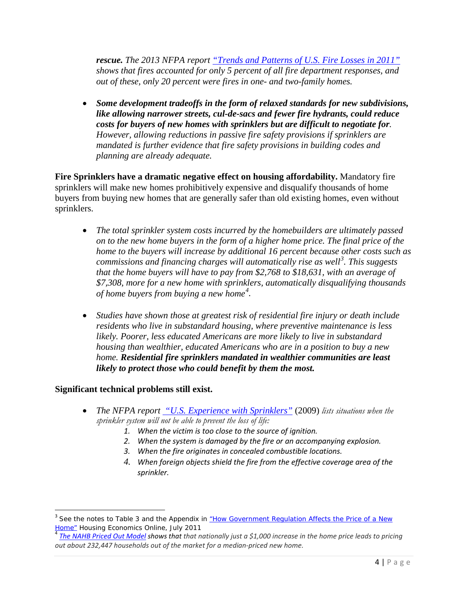*rescue. The 2013 NFPA report ["Trends and Patterns of U.S. Fire Losses in 2011"](http://www.nfpa.org/~/media/files/research/nfpa%20reports/overall%20fire%20statistics/ostrends.ashx) shows that fires accounted for only 5 percent of all fire department responses, and out of these, only 20 percent were fires in one- and two-family homes.*

• *Some development tradeoffs in the form of relaxed standards for new subdivisions, like allowing narrower streets, cul-de-sacs and fewer fire hydrants, could reduce costs for buyers of new homes with sprinklers but are difficult to negotiate for. However, allowing reductions in passive fire safety provisions if sprinklers are mandated is further evidence that fire safety provisions in building codes and planning are already adequate.*

**Fire Sprinklers have a dramatic negative effect on housing affordability.** Mandatory fire sprinklers will make new homes prohibitively expensive and disqualify thousands of home buyers from buying new homes that are generally safer than old existing homes, even without sprinklers.

- *The total sprinkler system costs incurred by the homebuilders are ultimately passed on to the new home buyers in the form of a higher home price. The final price of the home to the buyers will increase by additional 16 percent because other costs such as commissions and financing charges will automatically rise as well[3](#page-3-0) . This suggests that the home buyers will have to pay from \$2,768 to \$18,631, with an average of \$7,308, more for a new home with sprinklers, automatically disqualifying thousands of home buyers from buying a new home[4](#page-3-1) .*
- *Studies have shown those at greatest risk of residential fire injury or death include residents who live in substandard housing, where preventive maintenance is less likely. Poorer, less educated Americans are more likely to live in substandard housing than wealthier, educated Americans who are in a position to buy a new home. Residential fire sprinklers mandated in wealthier communities are least likely to protect those who could benefit by them the most.*

## **Significant technical problems still exist.**

- *The NFPA report ["U.S. Experience with Sprinklers"](http://www.iafc.org/files/flss_NFPASprinklerReport_1-2009.pdf)* (2009) *lists situations when the sprinkler system will not be able to prevent the loss of life:*
	- *1. When the victim is too close to the source of ignition.*
	- *2. When the system is damaged by the fire or an accompanying explosion.*
	- *3. When the fire originates in concealed combustible locations.*
	- *4. When foreign objects shield the fire from the effective coverage area of the sprinkler.*

<span id="page-3-0"></span><sup>&</sup>lt;sup>3</sup> See the notes to Table 3 and the Appendix in <u>["How Government Regulation Affects the Price of a New](http://www.nahb.org/generic.aspx?sectionID=734&genericContentID=161065&channelID=311) Home" Housing Economics Online, July 2011</u>

<span id="page-3-1"></span>*Home MAHB Priced Out Model shows that that nationally just a \$1,000 increase in the home price leads to pricing 1 out about 232,447 households out of the market for a median-priced new home.*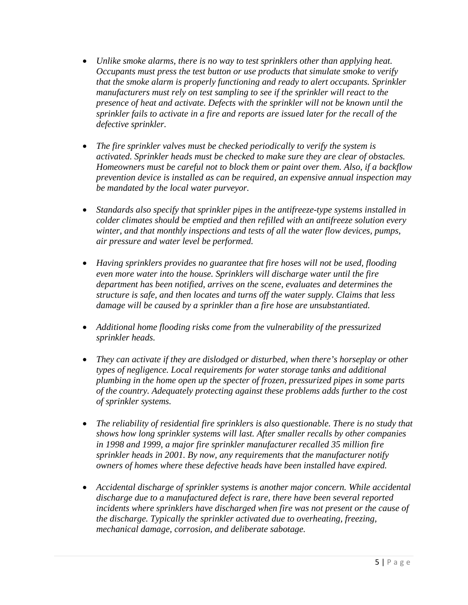- *Unlike smoke alarms, there is no way to test sprinklers other than applying heat. Occupants must press the test button or use products that simulate smoke to verify that the smoke alarm is properly functioning and ready to alert occupants. Sprinkler manufacturers must rely on test sampling to see if the sprinkler will react to the presence of heat and activate. Defects with the sprinkler will not be known until the sprinkler fails to activate in a fire and reports are issued later for the recall of the defective sprinkler.*
- *The fire sprinkler valves must be checked periodically to verify the system is activated. Sprinkler heads must be checked to make sure they are clear of obstacles. Homeowners must be careful not to block them or paint over them. Also, if a backflow prevention device is installed as can be required, an expensive annual inspection may be mandated by the local water purveyor.*
- *Standards also specify that sprinkler pipes in the antifreeze-type systems installed in colder climates should be emptied and then refilled with an antifreeze solution every winter, and that monthly inspections and tests of all the water flow devices, pumps, air pressure and water level be performed.*
- *Having sprinklers provides no guarantee that fire hoses will not be used, flooding even more water into the house. Sprinklers will discharge water until the fire department has been notified, arrives on the scene, evaluates and determines the structure is safe, and then locates and turns off the water supply. Claims that less damage will be caused by a sprinkler than a fire hose are unsubstantiated.*
- *Additional home flooding risks come from the vulnerability of the pressurized sprinkler heads.*
- *They can activate if they are dislodged or disturbed, when there's horseplay or other types of negligence. Local requirements for water storage tanks and additional plumbing in the home open up the specter of frozen, pressurized pipes in some parts of the country. Adequately protecting against these problems adds further to the cost of sprinkler systems.*
- *The reliability of residential fire sprinklers is also questionable. There is no study that shows how long sprinkler systems will last. After smaller recalls by other companies in 1998 and 1999, a major fire sprinkler manufacturer recalled 35 million fire sprinkler heads in 2001. By now, any requirements that the manufacturer notify owners of homes where these defective heads have been installed have expired.*
- *Accidental discharge of sprinkler systems is another major concern. While accidental discharge due to a manufactured defect is rare, there have been several reported incidents where sprinklers have discharged when fire was not present or the cause of the discharge. Typically the sprinkler activated due to overheating, freezing, mechanical damage, corrosion, and deliberate sabotage.*